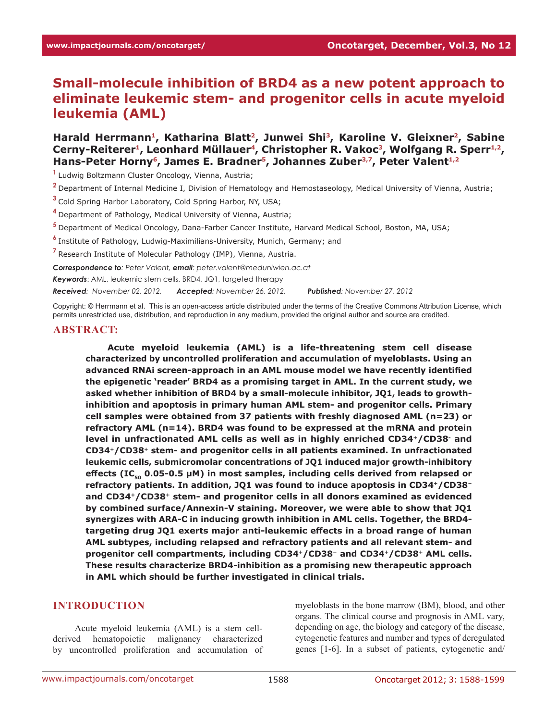# **Small-molecule inhibition of BRD4 as a new potent approach to eliminate leukemic stem- and progenitor cells in acute myeloid leukemia (AML)**

Harald Herrmann<sup>1</sup>, Katharina Blatt<sup>2</sup>, Junwei Shi<sup>3</sup>, Karoline V. Gleixner<sup>2</sup>, Sabine Cerny-Reiterer<sup>1</sup>, Leonhard Müllauer<sup>4</sup>, Christopher R. Vakoc<sup>3</sup>, Wolfgang R. Sperr<sup>1,2</sup>, Hans-Peter Horny<sup>6</sup>, James E. Bradner<sup>5</sup>, Johannes Zuber<sup>3,7</sup>, Peter Valent<sup>1,2</sup>

**<sup>1</sup>**Ludwig Boltzmann Cluster Oncology, Vienna, Austria;

**<sup>2</sup>**Department of Internal Medicine I, Division of Hematology and Hemostaseology, Medical University of Vienna, Austria;

**<sup>3</sup>**Cold Spring Harbor Laboratory, Cold Spring Harbor, NY, USA;

- **<sup>4</sup>**Department of Pathology, Medical University of Vienna, Austria;
- **<sup>5</sup>**Department of Medical Oncology, Dana-Farber Cancer Institute, Harvard Medical School, Boston, MA, USA;
- **<sup>6</sup>**Institute of Pathology, Ludwig-Maximilians-University, Munich, Germany; and

**<sup>7</sup>**Research Institute of Molecular Pathology (IMP), Vienna, Austria.

*Correspondence to: Peter Valent, email: peter.valent@meduniwien.ac.at*

*Keywords*: AML, leukemic stem cells, BRD4, JQ1, targeted therapy

*Received: November 02, 2012, Accepted: November 26, 2012, Published: November 27, 2012*

Copyright: © Herrmann et al. This is an open-access article distributed under the terms of the Creative Commons Attribution License, which permits unrestricted use, distribution, and reproduction in any medium, provided the original author and source are credited.

### **ABSTRACT:**

**Acute myeloid leukemia (AML) is a life-threatening stem cell disease characterized by uncontrolled proliferation and accumulation of myeloblasts. Using an advanced RNAi screen-approach in an AML mouse model we have recently identified the epigenetic 'reader' BRD4 as a promising target in AML. In the current study, we asked whether inhibition of BRD4 by a small-molecule inhibitor, JQ1, leads to growthinhibition and apoptosis in primary human AML stem- and progenitor cells. Primary cell samples were obtained from 37 patients with freshly diagnosed AML (n=23) or refractory AML (n=14). BRD4 was found to be expressed at the mRNA and protein level in unfractionated AML cells as well as in highly enriched CD34+/CD38- and CD34+/CD38+ stem- and progenitor cells in all patients examined. In unfractionated leukemic cells, submicromolar concentrations of JQ1 induced major growth-inhibitory**  effects (IC<sub>co</sub> 0.05-0.5 μM) in most samples, including cells derived from relapsed or **refractory patients. In addition, JQ1 was found to induce apoptosis in CD34+/CD38<sup>−</sup> and CD34+/CD38+ stem- and progenitor cells in all donors examined as evidenced by combined surface/Annexin-V staining. Moreover, we were able to show that JQ1 synergizes with ARA-C in inducing growth inhibition in AML cells. Together, the BRD4 targeting drug JQ1 exerts major anti-leukemic effects in a broad range of human AML subtypes, including relapsed and refractory patients and all relevant stem- and progenitor cell compartments, including CD34+/CD38− and CD34+/CD38+ AML cells. These results characterize BRD4-inhibition as a promising new therapeutic approach in AML which should be further investigated in clinical trials.**

### **INTRODUCTION**

Acute myeloid leukemia (AML) is a stem cellderived hematopoietic malignancy characterized by uncontrolled proliferation and accumulation of myeloblasts in the bone marrow (BM), blood, and other organs. The clinical course and prognosis in AML vary, depending on age, the biology and category of the disease, cytogenetic features and number and types of deregulated genes [1-6]. In a subset of patients, cytogenetic and/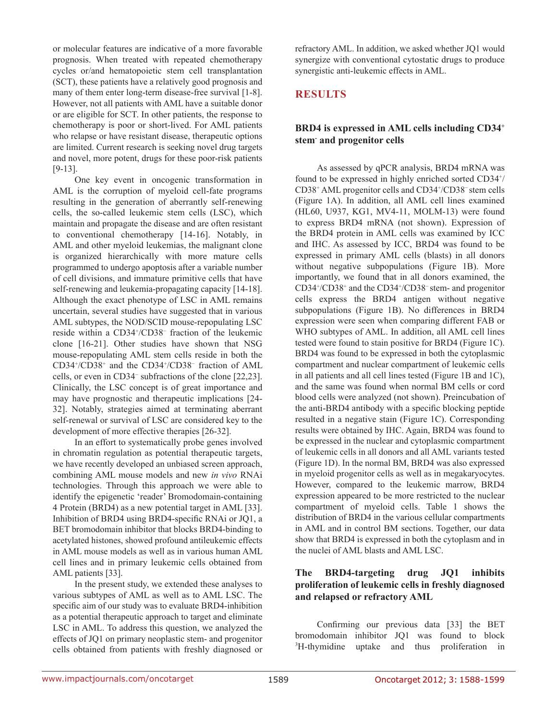or molecular features are indicative of a more favorable prognosis. When treated with repeated chemotherapy cycles or/and hematopoietic stem cell transplantation (SCT), these patients have a relatively good prognosis and many of them enter long-term disease-free survival [1-8]. However, not all patients with AML have a suitable donor or are eligible for SCT. In other patients, the response to chemotherapy is poor or short-lived. For AML patients who relapse or have resistant disease, therapeutic options are limited. Current research is seeking novel drug targets and novel, more potent, drugs for these poor-risk patients [9-13].

One key event in oncogenic transformation in AML is the corruption of myeloid cell-fate programs resulting in the generation of aberrantly self-renewing cells, the so-called leukemic stem cells (LSC), which maintain and propagate the disease and are often resistant to conventional chemotherapy [14-16]. Notably, in AML and other myeloid leukemias, the malignant clone is organized hierarchically with more mature cells programmed to undergo apoptosis after a variable number of cell divisions, and immature primitive cells that have self-renewing and leukemia-propagating capacity [14-18]. Although the exact phenotype of LSC in AML remains uncertain, several studies have suggested that in various AML subtypes, the NOD/SCID mouse-repopulating LSC reside within a CD34+ /CD38<sup>−</sup> fraction of the leukemic clone [16-21]. Other studies have shown that NSG mouse-repopulating AML stem cells reside in both the CD34+ /CD38+ and the CD34+ /CD38<sup>−</sup> fraction of AML cells, or even in CD34<sup>−</sup> subfractions of the clone [22,23]. Clinically, the LSC concept is of great importance and may have prognostic and therapeutic implications [24- 32]. Notably, strategies aimed at terminating aberrant self-renewal or survival of LSC are considered key to the development of more effective therapies [26-32].

In an effort to systematically probe genes involved in chromatin regulation as potential therapeutic targets, we have recently developed an unbiased screen approach, combining AML mouse models and new *in vivo* RNAi technologies. Through this approach we were able to identify the epigenetic 'reader' Bromodomain-containing 4 Protein (BRD4) as a new potential target in AML [33]. Inhibition of BRD4 using BRD4-specific RNAi or JQ1, a BET bromodomain inhibitor that blocks BRD4-binding to acetylated histones, showed profound antileukemic effects in AML mouse models as well as in various human AML cell lines and in primary leukemic cells obtained from AML patients [33].

In the present study, we extended these analyses to various subtypes of AML as well as to AML LSC. The specific aim of our study was to evaluate BRD4-inhibition as a potential therapeutic approach to target and eliminate LSC in AML. To address this question, we analyzed the effects of JQ1 on primary neoplastic stem- and progenitor cells obtained from patients with freshly diagnosed or refractory AML. In addition, we asked whether JQ1 would synergize with conventional cytostatic drugs to produce synergistic anti-leukemic effects in AML.

# **RESULTS**

# **BRD4 is expressed in AML cells including CD34+ stem- and progenitor cells**

As assessed by qPCR analysis, BRD4 mRNA was found to be expressed in highly enriched sorted CD34<sup>+/</sup> CD38+ AML progenitor cells and CD34+ /CD38<sup>−</sup>stem cells (Figure 1A). In addition, all AML cell lines examined (HL60, U937, KG1, MV4-11, MOLM-13) were found to express BRD4 mRNA (not shown). Expression of the BRD4 protein in AML cells was examined by ICC and IHC. As assessed by ICC, BRD4 was found to be expressed in primary AML cells (blasts) in all donors without negative subpopulations (Figure 1B). More importantly, we found that in all donors examined, the CD34+ /CD38+ and the CD34+ /CD38<sup>−</sup>stem- and progenitor cells express the BRD4 antigen without negative subpopulations (Figure 1B). No differences in BRD4 expression were seen when comparing different FAB or WHO subtypes of AML. In addition, all AML cell lines tested were found to stain positive for BRD4 (Figure 1C). BRD4 was found to be expressed in both the cytoplasmic compartment and nuclear compartment of leukemic cells in all patients and all cell lines tested (Figure 1B and 1C), and the same was found when normal BM cells or cord blood cells were analyzed (not shown). Preincubation of the anti-BRD4 antibody with a specific blocking peptide resulted in a negative stain (Figure 1C). Corresponding results were obtained by IHC. Again, BRD4 was found to be expressed in the nuclear and cytoplasmic compartment of leukemic cells in all donors and all AML variants tested (Figure 1D). In the normal BM, BRD4 was also expressed in myeloid progenitor cells as well as in megakaryocytes. However, compared to the leukemic marrow, BRD4 expression appeared to be more restricted to the nuclear compartment of myeloid cells. Table 1 shows the distribution of BRD4 in the various cellular compartments in AML and in control BM sections. Together, our data show that BRD4 is expressed in both the cytoplasm and in the nuclei of AML blasts and AML LSC.

# **The BRD4-targeting drug JQ1 inhibits proliferation of leukemic cells in freshly diagnosed and relapsed or refractory AML**

Confirming our previous data [33] the BET bromodomain inhibitor JQ1 was found to block <sup>3</sup>H-thymidine uptake and thus proliferation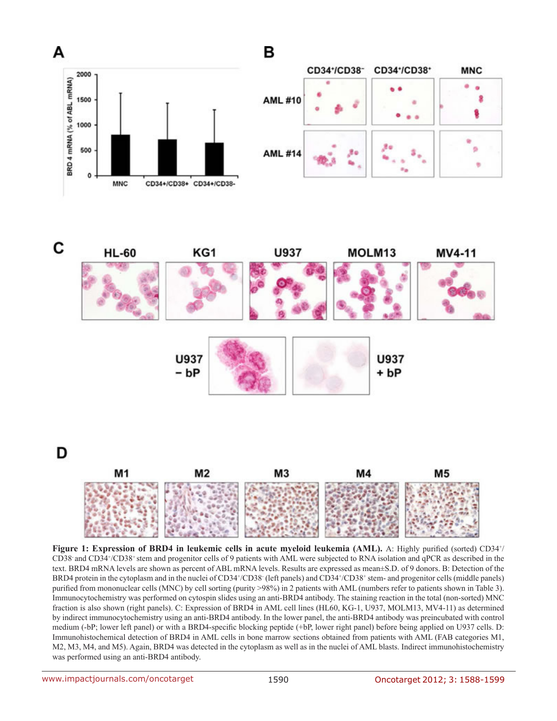



**Figure 1: Expression of BRD4 in leukemic cells in acute myeloid leukemia (AML).** A: Highly purified (sorted) CD34<sup>+</sup>/ CD38- and CD34+ /CD38+ stem and progenitor cells of 9 patients with AML were subjected to RNA isolation and qPCR as described in the text. BRD4 mRNA levels are shown as percent of ABL mRNA levels. Results are expressed as mean±S.D. of 9 donors. B: Detection of the BRD4 protein in the cytoplasm and in the nuclei of CD34+/CD38 (left panels) and CD34+/CD38+ stem- and progenitor cells (middle panels) purified from mononuclear cells (MNC) by cell sorting (purity >98%) in 2 patients with AML (numbers refer to patients shown in Table 3). Immunocytochemistry was performed on cytospin slides using an anti-BRD4 antibody. The staining reaction in the total (non-sorted) MNC fraction is also shown (right panels). C: Expression of BRD4 in AML cell lines (HL60, KG-1, U937, MOLM13, MV4-11) as determined by indirect immunocytochemistry using an anti-BRD4 antibody. In the lower panel, the anti-BRD4 antibody was preincubated with control medium (-bP; lower left panel) or with a BRD4-specific blocking peptide (+bP, lower right panel) before being applied on U937 cells. D: Immunohistochemical detection of BRD4 in AML cells in bone marrow sections obtained from patients with AML (FAB categories M1, M2, M3, M4, and M5). Again, BRD4 was detected in the cytoplasm as well as in the nuclei of AML blasts. Indirect immunohistochemistry was performed using an anti-BRD4 antibody.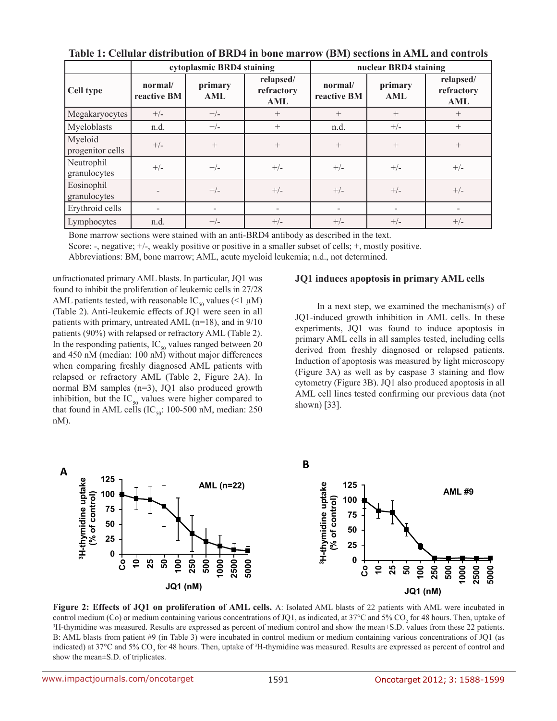|                             |                        | cytoplasmic BRD4 staining |                                |                        | nuclear BRD4 staining |                                       |
|-----------------------------|------------------------|---------------------------|--------------------------------|------------------------|-----------------------|---------------------------------------|
| Cell type                   | normal/<br>reactive BM | primary<br>AML            | relapsed/<br>refractory<br>AML | normal/<br>reactive BM | primary<br><b>AML</b> | relapsed/<br>refractory<br><b>AML</b> |
| Megakaryocytes              | $+/-$                  | $+/-$                     | $^{+}$                         | $^{+}$                 | $^{+}$                | $^{+}$                                |
| Myeloblasts                 | n.d.                   | $+/-$<br>$+$              |                                | n.d.                   | $+/-$                 | $^{+}$                                |
| Myeloid<br>progenitor cells | $+/-$                  | $+$                       | $^{+}$                         | $^{+}$                 | $^{+}$                | $^{+}$                                |
| Neutrophil<br>granulocytes  | $+/-$                  | $+/-$                     | $+/-$                          | $+/-$                  | $+/-$                 | $+/-$                                 |
| Eosinophil<br>granulocytes  |                        | $+/-$                     | $+/-$                          | $+/-$                  | $+/-$                 | $+/-$                                 |
| Erythroid cells             | -                      |                           |                                |                        |                       |                                       |
| Lymphocytes                 | n.d.                   | $+/-$                     | $+/-$                          | $+/-$                  | $+/-$                 | $+/-$                                 |

**Table 1: Cellular distribution of BRD4 in bone marrow (BM) sections in AML and controls**

Bone marrow sections were stained with an anti-BRD4 antibody as described in the text.

Score: -, negative; +/-, weakly positive or positive in a smaller subset of cells; +, mostly positive.

Abbreviations: BM, bone marrow; AML, acute myeloid leukemia; n.d., not determined.

unfractionated primary AML blasts. In particular, JQ1 was found to inhibit the proliferation of leukemic cells in 27/28 AML patients tested, with reasonable IC<sub>50</sub> values (<1  $\mu$ M) (Table 2). Anti-leukemic effects of JQ1 were seen in all patients with primary, untreated AML (n=18), and in 9/10 patients (90%) with relapsed or refractory AML (Table 2). In the responding patients,  $IC_{50}$  values ranged between 20 and 450 nM (median: 100 nM) without major differences when comparing freshly diagnosed AML patients with relapsed or refractory AML (Table 2, Figure 2A). In normal BM samples (n=3), JQ1 also produced growth inhibition, but the  $IC_{50}$  values were higher compared to that found in AML cells (IC<sub>50</sub>: 100-500 nM, median: 250 nM).

### **JQ1 induces apoptosis in primary AML cells**

In a next step, we examined the mechanism(s) of JQ1-induced growth inhibition in AML cells. In these experiments, JQ1 was found to induce apoptosis in primary AML cells in all samples tested, including cells derived from freshly diagnosed or relapsed patients. Induction of apoptosis was measured by light microscopy (Figure 3A) as well as by caspase 3 staining and flow cytometry (Figure 3B). JQ1 also produced apoptosis in all AML cell lines tested confirming our previous data (not shown) [33].



**Figure 2: Effects of JQ1 on proliferation of AML cells.** A: Isolated AML blasts of 22 patients with AML were incubated in control medium (Co) or medium containing various concentrations of JQ1, as indicated, at 37°C and 5% CO<sub>2</sub> for 48 hours. Then, uptake of  $\frac{3}{1}$ -thymidine was measured. Results are expressed as percent of medium control <sup>3</sup>H-thymidine was measured. Results are expressed as percent of medium control and show the mean $\pm$ S.D. values from these 22 patients. B: AML blasts from patient #9 (in Table 3) were incubated in control medium or medium containing various concentrations of JQ1 (as indicated) at 37 $^{\circ}$ C and 5% CO<sub>2</sub> for 48 hours. Then, uptake of  ${}^{3}$ H-thymidine was measured. Results are expressed as percent of control and show the mean±S.D. of triplicates.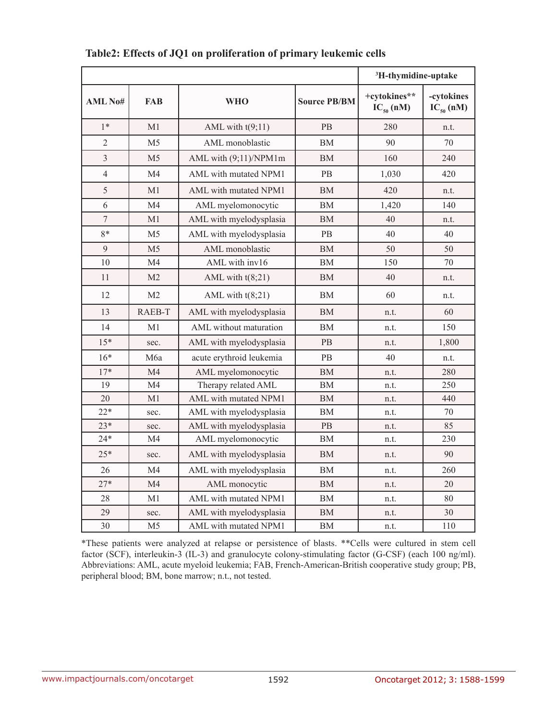|                              |                |                          |                     | <sup>3</sup> H-thymidine-uptake |                              |
|------------------------------|----------------|--------------------------|---------------------|---------------------------------|------------------------------|
| <b>AML No#</b><br><b>FAB</b> |                | <b>WHO</b>               | <b>Source PB/BM</b> | +cytokines**<br>$IC_{50}$ (nM)  | -cytokines<br>$IC_{50}$ (nM) |
| $1*$                         | M1             | AML with $t(9;11)$       | <b>PB</b>           | 280                             | n.t.                         |
| $\overline{2}$               | M <sub>5</sub> | AML monoblastic          | ΒM                  | 90                              | 70                           |
| 3                            | M <sub>5</sub> | AML with (9;11)/NPM1m    | BM                  | 160                             | 240                          |
| $\overline{4}$               | M <sub>4</sub> | AML with mutated NPM1    | PB                  | 1,030                           | 420                          |
| 5                            | M1             | AML with mutated NPM1    | <b>BM</b>           | 420                             | n.t.                         |
| 6                            | M <sub>4</sub> | AML myelomonocytic       | BM                  | 1,420                           | 140                          |
| $\boldsymbol{7}$             | M1             | AML with myelodysplasia  | BM                  | 40                              | n.t.                         |
| 8*                           | M <sub>5</sub> | AML with myelodysplasia  | <b>PB</b>           | 40                              | 40                           |
| 9                            | M <sub>5</sub> | AML monoblastic          | BM                  | 50                              | 50                           |
| 10                           | M <sub>4</sub> | AML with inv16           | BM                  | 150                             | 70                           |
| 11                           | M <sub>2</sub> | AML with $t(8;21)$       | BM                  | 40                              | n.t.                         |
| 12                           | M <sub>2</sub> | AML with $t(8;21)$       | BM                  | 60                              | n.t.                         |
| 13                           | RAEB-T         | AML with myelodysplasia  | <b>BM</b>           | n.t.                            | 60                           |
| 14                           | M1             | AML without maturation   | BM                  | n.t.                            | 150                          |
| $15*$                        | sec.           | AML with myelodysplasia  | <b>PB</b>           | n.t.                            | 1,800                        |
| $16*$                        | M6a            | acute erythroid leukemia | PB                  | 40                              | n.t.                         |
| $17*$                        | M4             | AML myelomonocytic       | <b>BM</b>           | n.t.                            | 280                          |
| 19                           | M <sub>4</sub> | Therapy related AML      | BM                  | n.t.                            | 250                          |
| 20                           | M <sub>1</sub> | AML with mutated NPM1    | <b>BM</b>           | n.t.                            | 440                          |
| $22*$                        | sec.           | AML with myelodysplasia  | <b>BM</b>           | n.t.                            | 70                           |
| $23*$                        | sec.           | AML with myelodysplasia  | PB                  | n.t.                            | 85                           |
| $24*$                        | M <sub>4</sub> | AML myelomonocytic       | <b>BM</b>           | n.t.                            | 230                          |
| $25*$                        | sec.           | AML with myelodysplasia  | BM                  | n.t.                            | 90                           |
| 26                           | M <sub>4</sub> | AML with myelodysplasia  | <b>BM</b>           | n.t.                            | 260                          |
| $27*$                        | M <sub>4</sub> | AML monocytic            | BM                  | n.t.                            | 20                           |
| 28                           | M1             | AML with mutated NPM1    | BM                  | n.t.                            | 80                           |
| 29                           | sec.           | AML with myelodysplasia  | <b>BM</b>           | n.t.                            | 30                           |
| 30                           | M <sub>5</sub> | AML with mutated NPM1    | BM                  | n.t.                            | 110                          |

**Table2: Effects of JQ1 on proliferation of primary leukemic cells** 

\*These patients were analyzed at relapse or persistence of blasts. \*\*Cells were cultured in stem cell factor (SCF), interleukin-3 (IL-3) and granulocyte colony-stimulating factor (G-CSF) (each 100 ng/ml). Abbreviations: AML, acute myeloid leukemia; FAB, French-American-British cooperative study group; PB, peripheral blood; BM, bone marrow; n.t., not tested.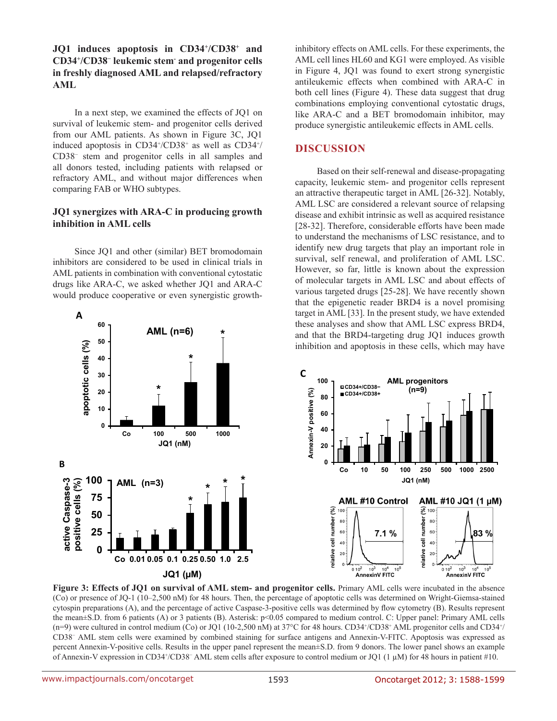**JQ1 induces apoptosis in CD34+ /CD38+ and CD34+ /CD38<sup>−</sup> leukemic stem- and progenitor cells in freshly diagnosed AML and relapsed/refractory AML**

In a next step, we examined the effects of JQ1 on survival of leukemic stem- and progenitor cells derived from our AML patients. As shown in Figure 3C, JQ1 induced apoptosis in CD34+/CD38+ as well as CD34+/ CD38<sup>−</sup> stem and progenitor cells in all samples and all donors tested, including patients with relapsed or refractory AML, and without major differences when comparing FAB or WHO subtypes.

### **JQ1 synergizes with ARA-C in producing growth inhibition in AML cells**

Since JQ1 and other (similar) BET bromodomain inhibitors are considered to be used in clinical trials in AML patients in combination with conventional cytostatic drugs like ARA-C, we asked whether JQ1 and ARA-C would produce cooperative or even synergistic growth-



inhibitory effects on AML cells. For these experiments, the AML cell lines HL60 and KG1 were employed. As visible in Figure 4, JQ1 was found to exert strong synergistic antileukemic effects when combined with ARA-C in both cell lines (Figure 4). These data suggest that drug combinations employing conventional cytostatic drugs, like ARA-C and a BET bromodomain inhibitor, may produce synergistic antileukemic effects in AML cells.

# **DISCUSSION**

Based on their self-renewal and disease-propagating capacity, leukemic stem- and progenitor cells represent an attractive therapeutic target in AML [26-32]. Notably, AML LSC are considered a relevant source of relapsing disease and exhibit intrinsic as well as acquired resistance [28-32]. Therefore, considerable efforts have been made to understand the mechanisms of LSC resistance, and to identify new drug targets that play an important role in survival, self renewal, and proliferation of AML LSC. However, so far, little is known about the expression of molecular targets in AML LSC and about effects of various targeted drugs [25-28]. We have recently shown that the epigenetic reader BRD4 is a novel promising target in AML [33]. In the present study, we have extended these analyses and show that AML LSC express BRD4, and that the BRD4-targeting drug JQ1 induces growth inhibition and apoptosis in these cells, which may have



**Figure 3: Effects of JO1 on survival of AML stem- and progenitor cells.** Primary AML cells were incubated in the absence (Co) or presence of JQ-1 (10–2,500 nM) for 48 hours. Then, the percentage of apoptotic cells was determined on Wright-Giemsa-stained cytospin preparations (A), and the percentage of active Caspase-3-positive cells was determined by flow cytometry (B). Results represent the mean±S.D. from 6 patients (A) or 3 patients (B). Asterisk: p<0.05 compared to medium control. C: Upper panel: Primary AML cells  $(n=9)$  were cultured in control medium (Co) or JQ1 (10-2,500 nM) at 37°C for 48 hours. CD34+/CD38+ AML progenitor cells and CD34+/ CD38<sup>−</sup> AML stem cells were examined by combined staining for surface antigens and Annexin-V-FITC. Apoptosis was expressed as percent Annexin-V-positive cells. Results in the upper panel represent the mean±S.D. from 9 donors. The lower panel shows an example of Annexin-V expression in CD34+/CD38<sup>-</sup> AML stem cells after exposure to control medium or JQ1 (1 µM) for 48 hours in patient #10.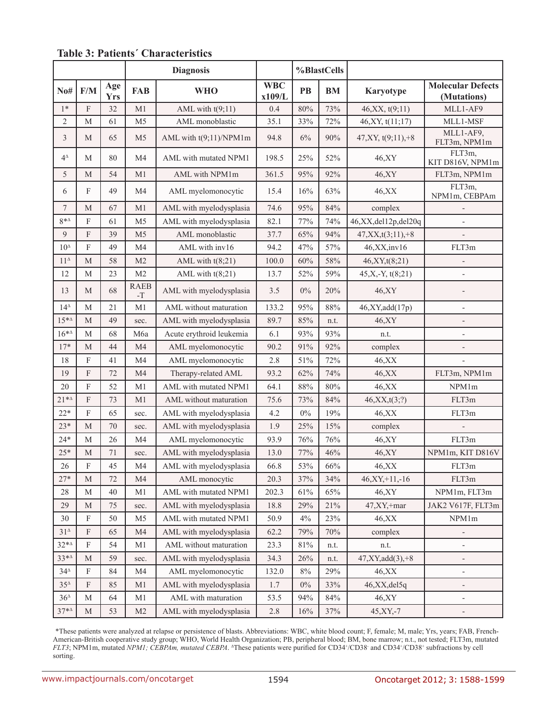|                    |             | <b>Diagnosis</b>  |                                     |                          | %BlastCells          |        |           |                       |                                         |
|--------------------|-------------|-------------------|-------------------------------------|--------------------------|----------------------|--------|-----------|-----------------------|-----------------------------------------|
| $N$ 0#             | F/M         | Age<br><b>Yrs</b> | <b>FAB</b>                          | <b>WHO</b>               | <b>WBC</b><br>x109/L | PB     | <b>BM</b> | Karyotype             | <b>Molecular Defects</b><br>(Mutations) |
| $1*$               | F           | 32                | M1                                  | AML with $t(9;11)$       | 0.4                  | 80%    | 73%       | 46, XX, t(9,11)       | MLL1-AF9                                |
| $\sqrt{2}$         | M           | 61                | M <sub>5</sub>                      | AML monoblastic          | 35.1                 | 33%    | 72%       | 46, XY, t(11;17)      | MLL1-MSF                                |
| 3                  | M           | 65                | M <sub>5</sub>                      | AML with t(9;11)/NPM1m   | 94.8                 | 6%     | 90%       | $47, XY, t(9,11), +8$ | MLL1-AF9,<br>FLT3m, NPM1m               |
| $4^{\vartriangle}$ | M           | 80                | M <sub>4</sub>                      | AML with mutated NPM1    | 198.5                | 25%    | 52%       | 46,XY                 | FLT3m,<br>KIT D816V, NPM1m              |
| $\sqrt{5}$         | M           | 54                | M1                                  | AML with NPM1m           | 361.5                | 95%    | 92%       | 46, XY                | FLT3m, NPM1m                            |
| 6                  | F           | 49                | M4                                  | AML myelomonocytic       | 15.4                 | 16%    | 63%       | 46, XX                | FLT3m,<br>NPM1m, CEBPAm                 |
| $\boldsymbol{7}$   | M           | 67                | M <sub>1</sub>                      | AML with myelodysplasia  | 74.6                 | 95%    | 84%       | complex               |                                         |
| $8^{*\Delta}$      | F           | 61                | M <sub>5</sub>                      | AML with myelodysplasia  | 82.1                 | 77%    | 74%       | 46,XX,del12p,del20q   |                                         |
| 9                  | F           | 39                | M <sub>5</sub>                      | AML monoblastic          | 37.7                 | 65%    | 94%       | $47, XX, t(3;11), +8$ |                                         |
| $10^{\Delta}$      | $\mathbf F$ | 49                | M <sub>4</sub>                      | AML with inv16           | 94.2                 | 47%    | 57%       | 46, XX, inv16         | FLT3m                                   |
| $11^{\Delta}$      | M           | 58                | M <sub>2</sub>                      | AML with $t(8;21)$       | 100.0                | 60%    | 58%       | 46, XY, t(8; 21)      |                                         |
| 12                 | M           | 23                | M <sub>2</sub>                      | AML with $t(8;21)$       | 13.7                 | 52%    | 59%       | $45, X, -Y, t(8, 21)$ | $\overline{\phantom{0}}$                |
| 13                 | M           | 68                | <b>RAEB</b><br>$\mbox{-}\mathbf{T}$ | AML with myelodysplasia  | 3.5                  | $0\%$  | 20%       | 46, XY                |                                         |
| $14^{\Delta}$      | $\mathbf M$ | 21                | M1                                  | AML without maturation   | 133.2                | 95%    | 88%       | 46, XY, add(17p)      | $\overline{a}$                          |
| $15^{*\Delta}$     | M           | 49                | sec.                                | AML with myelodysplasia  | 89.7                 | 85%    | n.t.      | 46, XY                | $\overline{a}$                          |
| $16^{*4}$          | M           | 68                | M6a                                 | Acute erythroid leukemia | 6.1                  | 93%    | 93%       | n.t.                  | $\overline{\phantom{a}}$                |
| $17*$              | M           | 44                | M <sub>4</sub>                      | AML myelomonocytic       | 90.2                 | 91%    | 92%       | complex               | $\overline{\phantom{0}}$                |
| 18                 | F           | 41                | M <sub>4</sub>                      | AML myelomonocytic       | 2.8                  | 51%    | 72%       | 46, XX                |                                         |
| 19                 | $\mathbf F$ | 72                | M <sub>4</sub>                      | Therapy-related AML      | 93.2                 | 62%    | 74%       | 46, XX                | FLT3m, NPM1m                            |
| 20                 | $\mathbf F$ | 52                | M1                                  | AML with mutated NPM1    | 64.1                 | $88\%$ | 80%       | 46, XX                | NPM1m                                   |
| $21**$             | F           | 73                | M1                                  | AML without maturation   | 75.6                 | 73%    | 84%       | 46, XX, t(3,?)        | FLT3m                                   |
| $22*$              | F           | 65                | sec.                                | AML with myelodysplasia  | 4.2                  | $0\%$  | 19%       | 46, XX                | FLT3m                                   |
| $23*$              | M           | 70                | sec.                                | AML with myelodysplasia  | 1.9                  | 25%    | 15%       | complex               |                                         |
| $24*$              | $\mathbf M$ | 26                | M <sub>4</sub>                      | AML myelomonocytic       | 93.9                 | 76%    | 76%       | 46,XY                 | FLT3m                                   |
| $25*$              | $\mathbf M$ | $71\,$            | sec.                                | AML with myelodysplasia  | 13.0                 | 77%    | 46%       | 46,XY                 | NPM1m, KIT D816V                        |
| 26                 | F           | 45                | M4                                  | AML with myelodysplasia  | 66.8                 | $53\%$ | $66\%$    | $46,$ XX              | FLT3m                                   |
| $27*$              | M           | 72                | M <sub>4</sub>                      | AML monocytic            | 20.3                 | 37%    | 34%       | $46, XY, +11, -16$    | FLT3m                                   |
| 28                 | М           | 40                | M1                                  | AML with mutated NPM1    | 202.3                | 61%    | 65%       | 46,XY                 | NPM1m, FLT3m                            |
| 29                 | M           | 75                | sec.                                | AML with myelodysplasia  | 18.8                 | 29%    | 21%       | $47, XY, +mar$        | JAK2 V617F, FLT3m                       |
| $30\,$             | F           | 50                | M <sub>5</sub>                      | AML with mutated NPM1    | 50.9                 | 4%     | 23%       | 46, XX                | NPM1m                                   |
| $31^{\Delta}$      | F           | 65                | M4                                  | AML with myelodysplasia  | 62.2                 | 79%    | $70\%$    | complex               |                                         |
| $32*^4$            | F           | 54                | M1                                  | AML without maturation   | 23.3                 | $81\%$ | n.t.      | n.t.                  | $\overline{a}$                          |
| 33*4               | $\mathbf M$ | 59                | sec.                                | AML with myelodysplasia  | 34.3                 | 26%    | n.t.      | $47, XY, add(3), +8$  | $\overline{\phantom{0}}$                |
| $34^{\circ}$       | F           | 84                | M4                                  | AML myelomonocytic       | 132.0                | $8\%$  | 29%       | 46, XX                | $\overline{\phantom{0}}$                |
| $35^{\circ}$       | F           | 85                | M <sub>1</sub>                      | AML with myelodysplasia  | 1.7                  | $0\%$  | 33%       | 46,XX, del 5q         | -                                       |
| $36^4$             | M           | 64                | M1                                  | AML with maturation      | 53.5                 | 94%    | $84\%$    | 46,XY                 | $\overline{\phantom{0}}$                |
| $37^*$             | $\mathbf M$ | 53                | M <sub>2</sub>                      | AML with myelodysplasia  | $2.8\,$              | 16%    | 37%       | 45, XY, -7            | $\overline{\phantom{0}}$                |

# **Table 3: Patients´ Characteristics**

\*These patients were analyzed at relapse or persistence of blasts. Abbreviations: WBC, white blood count; F, female; M, male; Yrs, years; FAB, French-American-British cooperative study group; WHO, World Health Organization; PB, peripheral blood; BM, bone marrow; n.t., not tested; FLT3m, mutated *FLT3*; NPM1m, mutated *NPM1; CEBPAm, mutated CEBPA*. <sup>∆</sup>These patients were purified for CD34<sup>+</sup>/CD38<sup>-</sup> and CD34<sup>+</sup>/CD38<sup>+</sup> subfractions by cell sorting.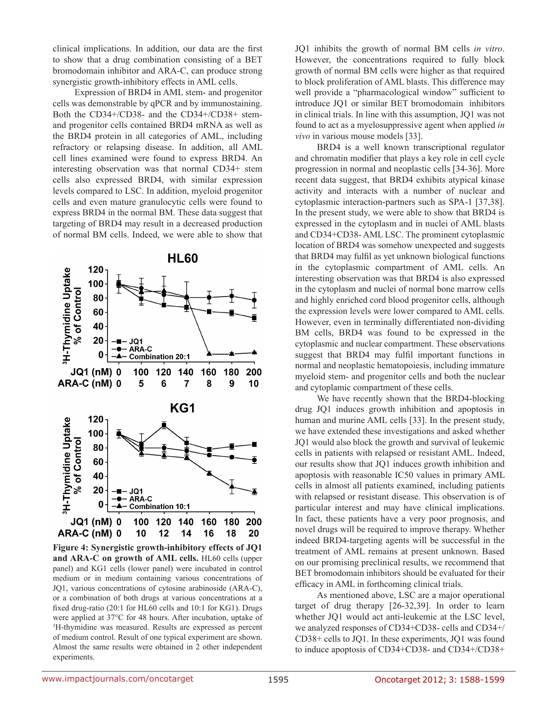clinical implications. In addition, our data are the first to show that a drug combination consisting of a BET bromodomain inhibitor and ARA-C, can produce strong synergistic growth-inhibitory effects in AML cells.

Expression of BRD4 in AML stem- and progenitor cells was demonstrable by qPCR and by immunostaining. Both the CD34+/CD38- and the CD34+/CD38+ stemand progenitor cells contained BRD4 mRNA as well as the BRD4 protein in all categories of AML, including refractory or relapsing disease. In addition, all AML cell lines examined were found to express BRD4. An interesting observation was that normal CD34+ stem cells also expressed BRD4, with similar expression levels compared to LSC. In addition, myeloid progenitor cells and even mature granulocytic cells were found to express BRD4 in the normal BM. These data suggest that targeting of BRD4 may result in a decreased production of normal BM cells. Indeed, we were able to show that



**Figure 4: Synergistic growth-inhibitory effects of JQ1 and ARA-C on growth of AML cells.** HL60 cells (upper panel) and KG1 cells (lower panel) were incubated in control medium or in medium containing various concentrations of JQ1, various concentrations of cytosine arabinoside (ARA-C), or a combination of both drugs at various concentrations at a fixed drug-ratio (20:1 for HL60 cells and 10:1 for KG1). Drugs were applied at 37°C for 48 hours. After incubation, uptake of 3 H-thymidine was measured. Results are expressed as percent of medium control. Result of one typical experiment are shown. Almost the same results were obtained in 2 other independent experiments.

JQ1 inhibits the growth of normal BM cells *in vitro*. However, the concentrations required to fully block growth of normal BM cells were higher as that required to block proliferation of AML blasts. This difference may well provide a "pharmacological window" sufficient to introduce JQ1 or similar BET bromodomain inhibitors in clinical trials. In line with this assumption, JQ1 was not found to act as a myelosuppressive agent when applied *in vivo* in various mouse models [33].

BRD4 is a well known transcriptional regulator and chromatin modifier that plays a key role in cell cycle progression in normal and neoplastic cells [34-36]. More recent data suggest, that BRD4 exhibits atypical kinase activity and interacts with a number of nuclear and cytoplasmic interaction-partners such as SPA-1 [37,38]. In the present study, we were able to show that BRD4 is expressed in the cytoplasm and in nuclei of AML blasts and CD34+CD38- AML LSC. The prominent cytoplasmic location of BRD4 was somehow unexpected and suggests that BRD4 may fulfil as yet unknown biological functions in the cytoplasmic compartment of AML cells. An interesting observation was that BRD4 is also expressed in the cytoplasm and nuclei of normal bone marrow cells and highly enriched cord blood progenitor cells, although the expression levels were lower compared to AML cells. However, even in terminally differentiated non-dividing BM cells, BRD4 was found to be expressed in the cytoplasmic and nuclear compartment. These observations suggest that BRD4 may fulfil important functions in normal and neoplastic hematopoiesis, including immature myeloid stem- and progenitor cells and both the nuclear and cytoplamic compartment of these cells.

We have recently shown that the BRD4-blocking drug JQ1 induces growth inhibition and apoptosis in human and murine AML cells [33]. In the present study, we have extended these investigations and asked whether JQ1 would also block the growth and survival of leukemic cells in patients with relapsed or resistant AML. Indeed, our results show that JQ1 induces growth inhibition and apoptosis with reasonable IC50 values in primary AML cells in almost all patients examined, including patients with relapsed or resistant disease. This observation is of particular interest and may have clinical implications. In fact, these patients have a very poor prognosis, and novel drugs will be required to improve therapy. Whether indeed BRD4-targeting agents will be successful in the treatment of AML remains at present unknown. Based on our promising preclinical results, we recommend that BET bromodomain inhibitors should be evaluated for their efficacy in AML in forthcoming clinical trials.

As mentioned above, LSC are a major operational target of drug therapy [26-32,39]. In order to learn whether JQ1 would act anti-leukemic at the LSC level, we analyzed responses of CD34+CD38- cells and CD34+/ CD38+ cells to JQ1. In these experiments, JQ1 was found to induce apoptosis of CD34+CD38- and CD34+/CD38+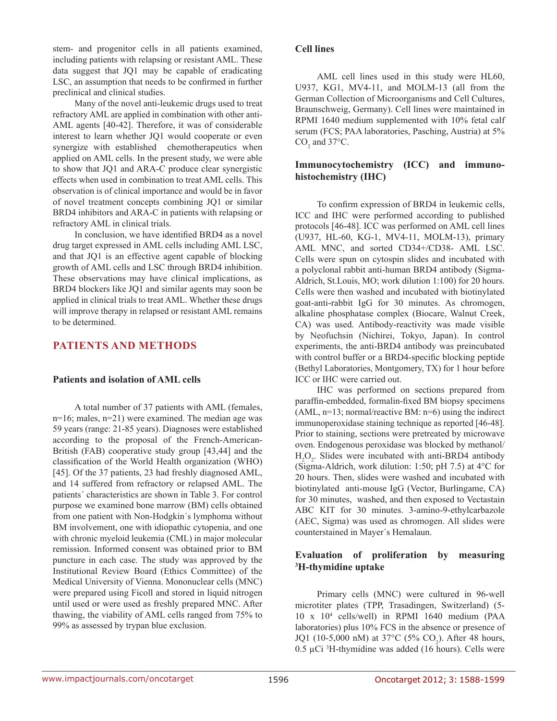stem- and progenitor cells in all patients examined, including patients with relapsing or resistant AML. These data suggest that JQ1 may be capable of eradicating LSC, an assumption that needs to be confirmed in further preclinical and clinical studies.

Many of the novel anti-leukemic drugs used to treat refractory AML are applied in combination with other anti-AML agents [40-42]. Therefore, it was of considerable interest to learn whether JQ1 would cooperate or even synergize with established chemotherapeutics when applied on AML cells. In the present study, we were able to show that JQ1 and ARA-C produce clear synergistic effects when used in combination to treat AML cells. This observation is of clinical importance and would be in favor of novel treatment concepts combining JQ1 or similar BRD4 inhibitors and ARA-C in patients with relapsing or refractory AML in clinical trials.

In conclusion, we have identified BRD4 as a novel drug target expressed in AML cells including AML LSC, and that JQ1 is an effective agent capable of blocking growth of AML cells and LSC through BRD4 inhibition. These observations may have clinical implications, as BRD4 blockers like JQ1 and similar agents may soon be applied in clinical trials to treat AML. Whether these drugs will improve therapy in relapsed or resistant AML remains to be determined.

## **PATIENTS AND METHODS**

#### **Patients and isolation of AML cells**

A total number of 37 patients with AML (females, n=16; males, n=21) were examined. The median age was 59 years (range: 21-85 years). Diagnoses were established according to the proposal of the French-American-British (FAB) cooperative study group [43,44] and the classification of the World Health organization (WHO) [45]. Of the 37 patients, 23 had freshly diagnosed AML, and 14 suffered from refractory or relapsed AML. The patients´ characteristics are shown in Table 3. For control purpose we examined bone marrow (BM) cells obtained from one patient with Non-Hodgkin´s lymphoma without BM involvement, one with idiopathic cytopenia, and one with chronic myeloid leukemia (CML) in major molecular remission. Informed consent was obtained prior to BM puncture in each case. The study was approved by the Institutional Review Board (Ethics Committee) of the Medical University of Vienna. Mononuclear cells (MNC) were prepared using Ficoll and stored in liquid nitrogen until used or were used as freshly prepared MNC. After thawing, the viability of AML cells ranged from 75% to 99% as assessed by trypan blue exclusion.

#### **Cell lines**

AML cell lines used in this study were HL60, U937, KG1, MV4-11, and MOLM-13 (all from the German Collection of Microorganisms and Cell Cultures, Braunschweig, Germany). Cell lines were maintained in RPMI 1640 medium supplemented with 10% fetal calf serum (FCS; PAA laboratories, Pasching, Austria) at 5%  $CO<sub>2</sub>$  and 37°C.

## **Immunocytochemistry (ICC) and immunohistochemistry (IHC)**

To confirm expression of BRD4 in leukemic cells, ICC and IHC were performed according to published protocols [46-48]. ICC was performed on AML cell lines (U937, HL-60, KG-1, MV4-11, MOLM-13), primary AML MNC, and sorted CD34+/CD38- AML LSC. Cells were spun on cytospin slides and incubated with a polyclonal rabbit anti-human BRD4 antibody (Sigma-Aldrich, St.Louis, MO; work dilution 1:100) for 20 hours. Cells were then washed and incubated with biotinylated goat-anti-rabbit IgG for 30 minutes. As chromogen, alkaline phosphatase complex (Biocare, Walnut Creek, CA) was used. Antibody-reactivity was made visible by Neofuchsin (Nichirei, Tokyo, Japan). In control experiments, the anti-BRD4 antibody was preincubated with control buffer or a BRD4-specific blocking peptide (Bethyl Laboratories, Montgomery, TX) for 1 hour before ICC or IHC were carried out.

IHC was performed on sections prepared from paraffin-embedded, formalin-fixed BM biopsy specimens  $(AML, n=13; normal/reactive BM: n=6)$  using the indirect immunoperoxidase staining technique as reported [46-48]. Prior to staining, sections were pretreated by microwave oven. Endogenous peroxidase was blocked by methanol/  $H_2O_2$ . Slides were incubated with anti-BRD4 antibody (Sigma-Aldrich, work dilution: 1:50; pH 7.5) at 4°C for 20 hours. Then, slides were washed and incubated with biotinylated anti-mouse IgG (Vector, Burlingame, CA) for 30 minutes, washed, and then exposed to Vectastain ABC KIT for 30 minutes. 3-amino-9-ethylcarbazole (AEC, Sigma) was used as chromogen. All slides were counterstained in Mayer´s Hemalaun.

## **Evaluation of proliferation by measuring 3 H-thymidine uptake**

Primary cells (MNC) were cultured in 96-well microtiter plates (TPP, Trasadingen, Switzerland) (5- 10 x 104 cells/well) in RPMI 1640 medium (PAA laboratories) plus 10% FCS in the absence or presence of JQ1 (10-5,000 nM) at 37°C (5% CO<sub>2</sub>). After 48 hours,  $0.5 \mu$ Ci <sup>3</sup>H-thymidine was added (16 hours). Cells were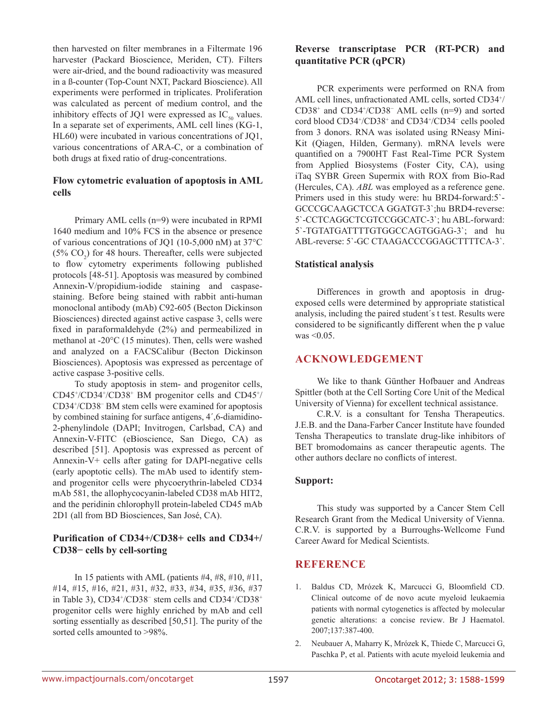then harvested on filter membranes in a Filtermate 196 harvester (Packard Bioscience, Meriden, CT). Filters were air-dried, and the bound radioactivity was measured in a ß-counter (Top-Count NXT, Packard Bioscience). All experiments were performed in triplicates. Proliferation was calculated as percent of medium control, and the inhibitory effects of JQ1 were expressed as  $IC_{50}$  values. In a separate set of experiments, AML cell lines (KG-1, HL60) were incubated in various concentrations of JQ1, various concentrations of ARA-C, or a combination of both drugs at fixed ratio of drug-concentrations.

### **Flow cytometric evaluation of apoptosis in AML cells**

Primary AML cells (n=9) were incubated in RPMI 1640 medium and 10% FCS in the absence or presence of various concentrations of JQ1 (10-5,000 nM) at 37°C  $(5\% \text{ CO}_2)$  for 48 hours. Thereafter, cells were subjected to flow cytometry experiments following published protocols [48-51]. Apoptosis was measured by combined Annexin-V/propidium-iodide staining and caspasestaining. Before being stained with rabbit anti-human monoclonal antibody (mAb) C92-605 (Becton Dickinson Biosciences) directed against active caspase 3, cells were fixed in paraformaldehyde (2%) and permeabilized in methanol at -20°C (15 minutes). Then, cells were washed and analyzed on a FACSCalibur (Becton Dickinson Biosciences). Apoptosis was expressed as percentage of active caspase 3-positive cells.

To study apoptosis in stem- and progenitor cells, CD45+ /CD34+ /CD38+ BM progenitor cells and CD45+ / CD34+ /CD38<sup>−</sup> BM stem cells were examined for apoptosis by combined staining for surface antigens, 4´,6-diamidino-2-phenylindole (DAPI; Invitrogen, Carlsbad, CA) and Annexin-V-FITC (eBioscience, San Diego, CA) as described [51]. Apoptosis was expressed as percent of Annexin-V+ cells after gating for DAPI-negative cells (early apoptotic cells). The mAb used to identify stemand progenitor cells were phycoerythrin-labeled CD34 mAb 581, the allophycocyanin-labeled CD38 mAb HIT2, and the peridinin chlorophyll protein-labeled CD45 mAb 2D1 (all from BD Biosciences, San José, CA).

## **Purification of CD34+/CD38+ cells and CD34+/ CD38− cells by cell-sorting**

In 15 patients with AML (patients  $#4, #8, #10, #11,$ #14, #15, #16, #21, #31, #32, #33, #34, #35, #36, #37 in Table 3), CD34<sup>+</sup>/CD38<sup>-</sup> stem cells and CD34<sup>+</sup>/CD38<sup>+</sup> progenitor cells were highly enriched by mAb and cell sorting essentially as described [50,51]. The purity of the sorted cells amounted to >98%.

# **Reverse transcriptase PCR (RT-PCR) and quantitative PCR (qPCR)**

PCR experiments were performed on RNA from AML cell lines, unfractionated AML cells, sorted CD34+ / CD38+ and CD34+ /CD38<sup>−</sup> AML cells (n=9) and sorted cord blood CD34+ /CD38+ and CD34+ /CD34<sup>−</sup> cells pooled from 3 donors. RNA was isolated using RNeasy Mini-Kit (Qiagen, Hilden, Germany). mRNA levels were quantified on a 7900HT Fast Real-Time PCR System from Applied Biosystems (Foster City, CA), using iTaq SYBR Green Supermix with ROX from Bio-Rad (Hercules, CA). *ABL* was employed as a reference gene. Primers used in this study were: hu BRD4-forward:5`- GCCCGCAAGCTCCA GGATGT-3`;hu BRD4-reverse: 5`-CCTCAGGCTCGTCCGGCATC-3`; hu ABL-forward: 5`-TGTATGATTTTGTGGCCAGTGGAG-3`; and hu ABL-reverse: 5`-GC CTAAGACCCGGAGCTTTTCA-3`.

### **Statistical analysis**

Differences in growth and apoptosis in drugexposed cells were determined by appropriate statistical analysis, including the paired student´s t test. Results were considered to be significantly different when the p value was <0.05.

### **ACKNOWLEDGEMENT**

We like to thank Günther Hofbauer and Andreas Spittler (both at the Cell Sorting Core Unit of the Medical University of Vienna) for excellent technical assistance.

C.R.V. is a consultant for Tensha Therapeutics. J.E.B. and the Dana-Farber Cancer Institute have founded Tensha Therapeutics to translate drug-like inhibitors of BET bromodomains as cancer therapeutic agents. The other authors declare no conflicts of interest.

#### **Support:**

This study was supported by a Cancer Stem Cell Research Grant from the Medical University of Vienna. C.R.V. is supported by a Burroughs-Wellcome Fund Career Award for Medical Scientists.

# **REFERENCE**

- 1. Baldus CD, Mrózek K, Marcucci G, Bloomfield CD. Clinical outcome of de novo acute myeloid leukaemia patients with normal cytogenetics is affected by molecular genetic alterations: a concise review. Br J Haematol. 2007;137:387-400.
- 2. Neubauer A, Maharry K, Mrózek K, Thiede C, Marcucci G, Paschka P, et al. Patients with acute myeloid leukemia and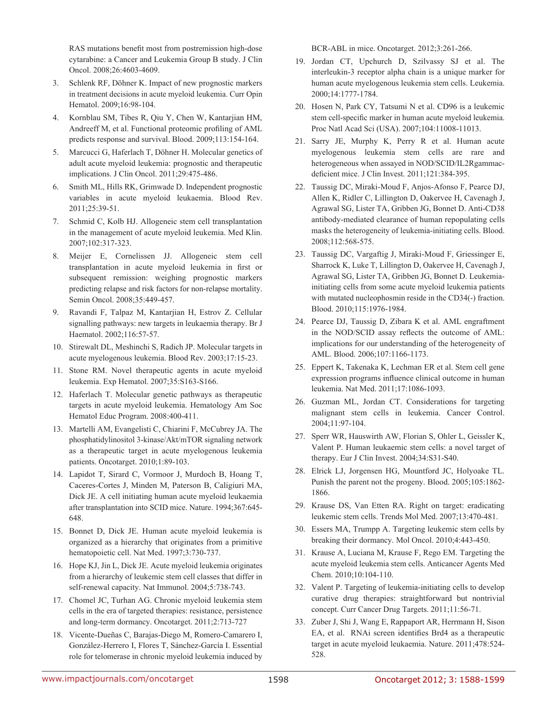RAS mutations benefit most from postremission high-dose cytarabine: a Cancer and Leukemia Group B study. J Clin Oncol. 2008;26:4603-4609.

- 3. Schlenk RF, Döhner K. Impact of new prognostic markers in treatment decisions in acute myeloid leukemia. Curr Opin Hematol. 2009;16:98-104.
- 4. Kornblau SM, Tibes R, Qiu Y, Chen W, Kantarjian HM, Andreeff M, et al. Functional proteomic profiling of AML predicts response and survival. Blood. 2009;113:154-164.
- 5. Marcucci G, Haferlach T, Döhner H. Molecular genetics of adult acute myeloid leukemia: prognostic and therapeutic implications. J Clin Oncol. 2011;29:475-486.
- 6. Smith ML, Hills RK, Grimwade D. Independent prognostic variables in acute myeloid leukaemia. Blood Rev. 2011;25:39-51.
- 7. Schmid C, Kolb HJ. Allogeneic stem cell transplantation in the management of acute myeloid leukemia. Med Klin. 2007;102:317-323.
- 8. Meijer E, Cornelissen JJ. Allogeneic stem cell transplantation in acute myeloid leukemia in first or subsequent remission: weighing prognostic markers predicting relapse and risk factors for non-relapse mortality. Semin Oncol. 2008;35:449-457.
- 9. Ravandi F, Talpaz M, Kantarjian H, Estrov Z. Cellular signalling pathways: new targets in leukaemia therapy. Br J Haematol. 2002;116:57-57.
- 10. Stirewalt DL, Meshinchi S, Radich JP. Molecular targets in acute myelogenous leukemia. Blood Rev. 2003;17:15-23.
- 11. Stone RM. Novel therapeutic agents in acute myeloid leukemia. Exp Hematol. 2007;35:S163-S166.
- 12. Haferlach T. Molecular genetic pathways as therapeutic targets in acute myeloid leukemia. Hematology Am Soc Hematol Educ Program. 2008:400-411.
- 13. Martelli AM, Evangelisti C, Chiarini F, McCubrey JA. The phosphatidylinositol 3-kinase/Akt/mTOR signaling network as a therapeutic target in acute myelogenous leukemia patients. Oncotarget. 2010;1:89-103.
- 14. Lapidot T, Sirard C, Vormoor J, Murdoch B, Hoang T, Caceres-Cortes J, Minden M, Paterson B, Caligiuri MA, Dick JE. A cell initiating human acute myeloid leukaemia after transplantation into SCID mice. Nature. 1994;367:645- 648.
- 15. Bonnet D, Dick JE. Human acute myeloid leukemia is organized as a hierarchy that originates from a primitive hematopoietic cell. Nat Med. 1997;3:730-737.
- 16. Hope KJ, Jin L, Dick JE. Acute myeloid leukemia originates from a hierarchy of leukemic stem cell classes that differ in self-renewal capacity. Nat Immunol. 2004;5:738-743.
- 17. Chomel JC, Turhan AG. Chronic myeloid leukemia stem cells in the era of targeted therapies: resistance, persistence and long-term dormancy. Oncotarget. 2011;2:713-727
- 18. Vicente-Dueñas C, Barajas-Diego M, Romero-Camarero I, González-Herrero I, Flores T, Sánchez-García I. Essential role for telomerase in chronic myeloid leukemia induced by

BCR-ABL in mice. Oncotarget. 2012;3:261-266.

- 19. Jordan CT, Upchurch D, Szilvassy SJ et al. The interleukin-3 receptor alpha chain is a unique marker for human acute myelogenous leukemia stem cells. Leukemia. 2000;14:1777-1784.
- 20. Hosen N, Park CY, Tatsumi N et al. CD96 is a leukemic stem cell-specific marker in human acute myeloid leukemia. Proc Natl Acad Sci (USA). 2007;104:11008-11013.
- 21. Sarry JE, Murphy K, Perry R et al. Human acute myelogenous leukemia stem cells are rare and heterogeneous when assayed in NOD/SCID/IL2Rgammacdeficient mice. J Clin Invest. 2011;121:384-395.
- 22. Taussig DC, Miraki-Moud F, Anjos-Afonso F, Pearce DJ, Allen K, Ridler C, Lillington D, Oakervee H, Cavenagh J, Agrawal SG, Lister TA, Gribben JG, Bonnet D. Anti-CD38 antibody-mediated clearance of human repopulating cells masks the heterogeneity of leukemia-initiating cells. Blood. 2008;112:568-575.
- 23. Taussig DC, Vargaftig J, Miraki-Moud F, Griessinger E, Sharrock K, Luke T, Lillington D, Oakervee H, Cavenagh J, Agrawal SG, Lister TA, Gribben JG, Bonnet D. Leukemiainitiating cells from some acute myeloid leukemia patients with mutated nucleophosmin reside in the CD34(-) fraction. Blood. 2010;115:1976-1984.
- 24. Pearce DJ, Taussig D, Zibara K et al. AML engraftment in the NOD/SCID assay reflects the outcome of AML: implications for our understanding of the heterogeneity of AML. Blood. 2006;107:1166-1173.
- 25. Eppert K, Takenaka K, Lechman ER et al. Stem cell gene expression programs influence clinical outcome in human leukemia. Nat Med. 2011;17:1086-1093.
- 26. Guzman ML, Jordan CT. Considerations for targeting malignant stem cells in leukemia. Cancer Control. 2004;11:97-104.
- 27. Sperr WR, Hauswirth AW, Florian S, Ohler L, Geissler K, Valent P. Human leukaemic stem cells: a novel target of therapy. Eur J Clin Invest. 2004;34:S31-S40.
- 28. Elrick LJ, Jorgensen HG, Mountford JC, Holyoake TL. Punish the parent not the progeny. Blood. 2005;105:1862- 1866.
- 29. Krause DS, Van Etten RA. Right on target: eradicating leukemic stem cells. Trends Mol Med. 2007;13:470-481.
- 30. Essers MA, Trumpp A. Targeting leukemic stem cells by breaking their dormancy. Mol Oncol. 2010;4:443-450.
- 31. Krause A, Luciana M, Krause F, Rego EM. Targeting the acute myeloid leukemia stem cells. Anticancer Agents Med Chem. 2010;10:104-110.
- 32. Valent P. Targeting of leukemia-initiating cells to develop curative drug therapies: straightforward but nontrivial concept. Curr Cancer Drug Targets. 2011;11:56-71.
- 33. Zuber J, Shi J, Wang E, Rappaport AR, Herrmann H, Sison EA, et al. RNAi screen identifies Brd4 as a therapeutic target in acute myeloid leukaemia. Nature. 2011;478:524- 528.